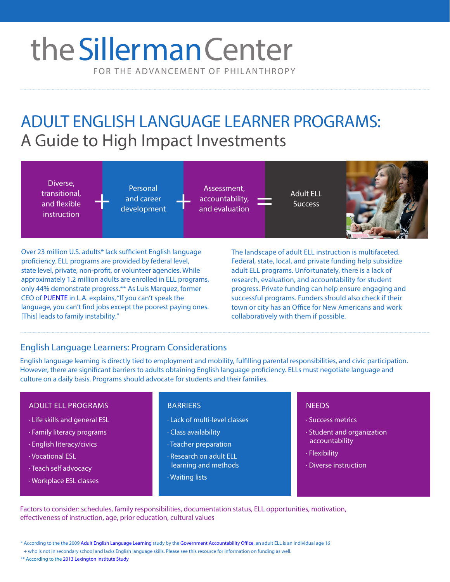# FOR THE ADVANCEMENT OF PHILANTHROPY the Sillerman Center

## ADULT ENGLISH LANGUAGE LEARNER PROGRAMS: A Guide to High Impact Investments

Diverse, transitional, and flexible instruction

Personal and career development

Assessment, accountability, and evaluation Personal Assessment,<br>and career accountability, and Success<br>development and evaluation Success



Over 23 million U.S. adults\* lack sufficient English language proficiency. ELL programs are provided by federal level, state level, private, non-profit, or volunteer agencies. While approximately 1.2 million adults are enrolled in ELL programs, only 44% demonstrate progress.\*\* As Luis Marquez, former CEO of [PUENTE](https://www.puente.org/) in L.A. explains, "If you can't speak the language, you can't find jobs except the poorest paying ones. [This] leads to family instability."

The landscape of adult ELL instruction is multifaceted. Federal, state, local, and private funding help subsidize adult ELL programs. Unfortunately, there is a lack of research, evaluation, and accountability for student progress. Private funding can help ensure engaging and successful programs. Funders should also check if their town or city has an Office for New Americans and work collaboratively with them if possible.

### English Language Learners: Program Considerations

English language learning is directly tied to employment and mobility, fulfilling parental responsibilities, and civic participation. However, there are significant barriers to adults obtaining English language proficiency. ELLs must negotiate language and culture on a daily basis. Programs should advocate for students and their families.

#### ADULT ELL PROGRAMS

- · Life skills and general ESL
- · Family literacy programs
- · English literacy/civics
- · Vocational ESL
- · Teach self advocacy
- · Workplace ESL classes

#### BARRIERS NEEDS

- · Lack of multi-level classes
- · Class availability
- · Teacher preparation
- · Research on adult ELL learning and methods
- · Waiting lists

- · Success metrics
- · Student and organization accountability
- · Flexibility
- · Diverse instruction

Factors to consider: schedules, family responsibilities, documentation status, ELL opportunities, motivation, effectiveness of instruction, age, prior education, cultural values

\* According to the the 2009 [Adult English Language Learning](http://www.gao.gov/new.items/d09575.pdf) study by th[e Government Accountability Office](http://www.gao.gov/), an adult ELL is an individual age 16

+ who is not in secondary school and lacks English language skills. Please see this resource for information on funding as well.

\*\* According to the 201[3 Lexington Institute Study](http://lexingtoninstitute.org/wp-content/uploads/2013/11/AdultELLpaperJuly13.pdf)